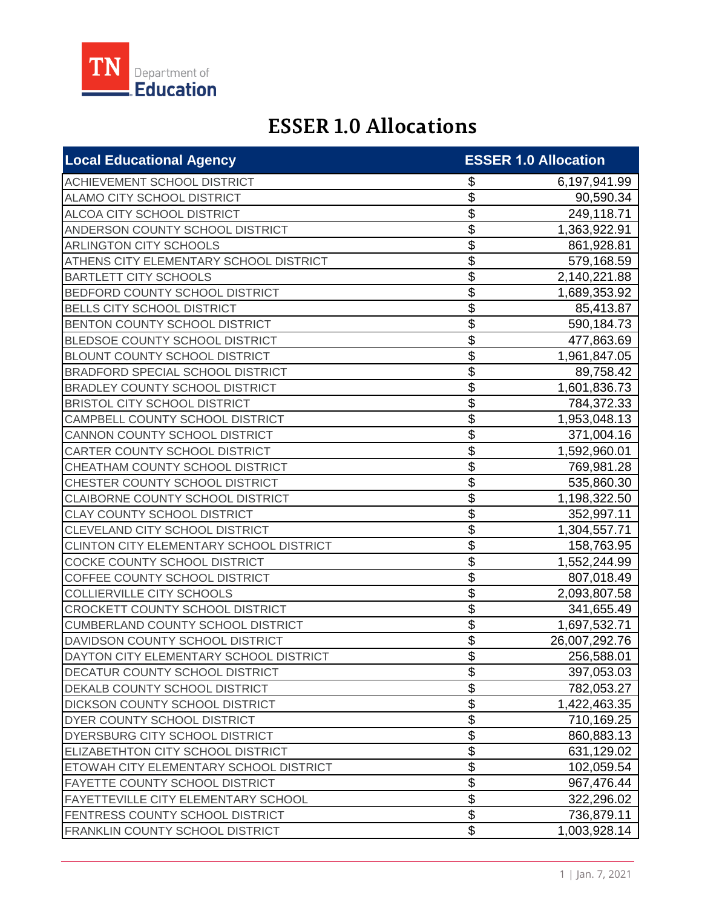

## **ESSER 1.0 Allocations**

| <b>Local Educational Agency</b>          |                           | <b>ESSER 1.0 Allocation</b> |
|------------------------------------------|---------------------------|-----------------------------|
| ACHIEVEMENT SCHOOL DISTRICT              | \$                        | 6,197,941.99                |
| ALAMO CITY SCHOOL DISTRICT               | \$                        | 90,590.34                   |
| ALCOA CITY SCHOOL DISTRICT               | \$                        | 249,118.71                  |
| ANDERSON COUNTY SCHOOL DISTRICT          | \$                        | 1,363,922.91                |
| <b>ARLINGTON CITY SCHOOLS</b>            | \$                        | 861,928.81                  |
| ATHENS CITY ELEMENTARY SCHOOL DISTRICT   | \$                        | 579,168.59                  |
| <b>BARTLETT CITY SCHOOLS</b>             | $\overline{\mathfrak{s}}$ | 2,140,221.88                |
| BEDFORD COUNTY SCHOOL DISTRICT           | \$                        | 1,689,353.92                |
| <b>BELLS CITY SCHOOL DISTRICT</b>        | \$                        | 85,413.87                   |
| BENTON COUNTY SCHOOL DISTRICT            | \$                        | 590,184.73                  |
| BLEDSOE COUNTY SCHOOL DISTRICT           | \$                        | 477,863.69                  |
| BLOUNT COUNTY SCHOOL DISTRICT            | \$                        | 1,961,847.05                |
| <b>BRADFORD SPECIAL SCHOOL DISTRICT</b>  | \$                        | 89,758.42                   |
| <b>BRADLEY COUNTY SCHOOL DISTRICT</b>    | \$                        | 1,601,836.73                |
| <b>BRISTOL CITY SCHOOL DISTRICT</b>      | \$                        | 784,372.33                  |
| CAMPBELL COUNTY SCHOOL DISTRICT          | \$                        | 1,953,048.13                |
| CANNON COUNTY SCHOOL DISTRICT            | \$                        | 371,004.16                  |
| CARTER COUNTY SCHOOL DISTRICT            | \$                        | 1,592,960.01                |
| CHEATHAM COUNTY SCHOOL DISTRICT          | \$                        | 769,981.28                  |
| CHESTER COUNTY SCHOOL DISTRICT           | \$                        | 535,860.30                  |
| CLAIBORNE COUNTY SCHOOL DISTRICT         | \$                        | 1,198,322.50                |
| <b>CLAY COUNTY SCHOOL DISTRICT</b>       | \$                        | 352,997.11                  |
| CLEVELAND CITY SCHOOL DISTRICT           | \$                        | 1,304,557.71                |
| CLINTON CITY ELEMENTARY SCHOOL DISTRICT  | \$                        | 158,763.95                  |
| COCKE COUNTY SCHOOL DISTRICT             | \$                        | 1,552,244.99                |
| COFFEE COUNTY SCHOOL DISTRICT            | \$                        | 807,018.49                  |
| COLLIERVILLE CITY SCHOOLS                | \$                        | 2,093,807.58                |
| <b>CROCKETT COUNTY SCHOOL DISTRICT</b>   | \$                        | 341,655.49                  |
| <b>CUMBERLAND COUNTY SCHOOL DISTRICT</b> | \$                        | 1,697,532.71                |
| DAVIDSON COUNTY SCHOOL DISTRICT          | \$                        | 26,007,292.76               |
| DAYTON CITY ELEMENTARY SCHOOL DISTRICT   | \$                        | 256,588.01                  |
| DECATUR COUNTY SCHOOL DISTRICT           | \$                        | 397,053.03                  |
| DEKALB COUNTY SCHOOL DISTRICT            | \$                        | 782,053.27                  |
| DICKSON COUNTY SCHOOL DISTRICT           | \$                        | 1,422,463.35                |
| DYER COUNTY SCHOOL DISTRICT              | \$                        | 710,169.25                  |
| DYERSBURG CITY SCHOOL DISTRICT           | \$                        | 860,883.13                  |
| ELIZABETHTON CITY SCHOOL DISTRICT        | \$                        | 631,129.02                  |
| ETOWAH CITY ELEMENTARY SCHOOL DISTRICT   | \$                        | 102,059.54                  |
| FAYETTE COUNTY SCHOOL DISTRICT           | \$                        | 967,476.44                  |
| FAYETTEVILLE CITY ELEMENTARY SCHOOL      | $\overline{\mathcal{G}}$  | 322,296.02                  |
| FENTRESS COUNTY SCHOOL DISTRICT          | \$                        | 736,879.11                  |
| FRANKLIN COUNTY SCHOOL DISTRICT          | \$                        | 1,003,928.14                |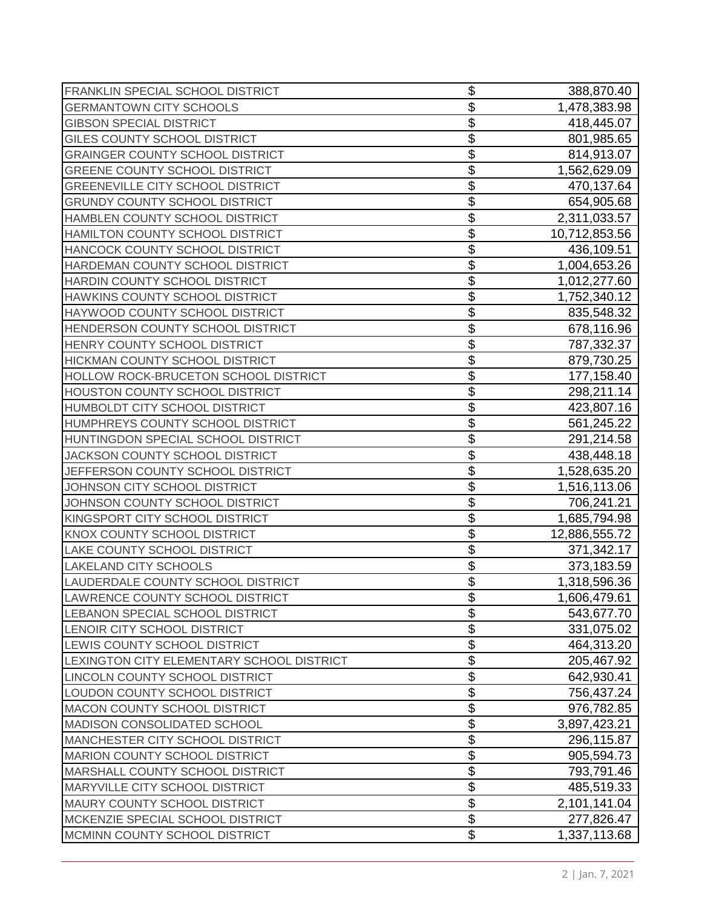| FRANKLIN SPECIAL SCHOOL DISTRICT          | \$              | 388,870.40    |
|-------------------------------------------|-----------------|---------------|
| <b>GERMANTOWN CITY SCHOOLS</b>            | \$              | 1,478,383.98  |
| <b>GIBSON SPECIAL DISTRICT</b>            | \$              | 418,445.07    |
| GILES COUNTY SCHOOL DISTRICT              | \$              | 801,985.65    |
| <b>GRAINGER COUNTY SCHOOL DISTRICT</b>    | \$              | 814,913.07    |
| <b>GREENE COUNTY SCHOOL DISTRICT</b>      | \$              | 1,562,629.09  |
| <b>GREENEVILLE CITY SCHOOL DISTRICT</b>   | \$              | 470,137.64    |
| <b>GRUNDY COUNTY SCHOOL DISTRICT</b>      | \$              | 654,905.68    |
| HAMBLEN COUNTY SCHOOL DISTRICT            | \$              | 2,311,033.57  |
| HAMILTON COUNTY SCHOOL DISTRICT           | \$              | 10,712,853.56 |
| HANCOCK COUNTY SCHOOL DISTRICT            | \$              | 436,109.51    |
| HARDEMAN COUNTY SCHOOL DISTRICT           | \$              | 1,004,653.26  |
| HARDIN COUNTY SCHOOL DISTRICT             | \$              | 1,012,277.60  |
| HAWKINS COUNTY SCHOOL DISTRICT            | \$              | 1,752,340.12  |
| HAYWOOD COUNTY SCHOOL DISTRICT            | \$              | 835,548.32    |
| HENDERSON COUNTY SCHOOL DISTRICT          | \$              | 678,116.96    |
| HENRY COUNTY SCHOOL DISTRICT              | \$              | 787,332.37    |
| HICKMAN COUNTY SCHOOL DISTRICT            | \$              | 879,730.25    |
| HOLLOW ROCK-BRUCETON SCHOOL DISTRICT      | \$              | 177,158.40    |
| HOUSTON COUNTY SCHOOL DISTRICT            | \$              | 298,211.14    |
| HUMBOLDT CITY SCHOOL DISTRICT             | \$              | 423,807.16    |
| HUMPHREYS COUNTY SCHOOL DISTRICT          | \$              | 561,245.22    |
| HUNTINGDON SPECIAL SCHOOL DISTRICT        | \$              | 291,214.58    |
| JACKSON COUNTY SCHOOL DISTRICT            | \$              | 438,448.18    |
| JEFFERSON COUNTY SCHOOL DISTRICT          | \$              | 1,528,635.20  |
| JOHNSON CITY SCHOOL DISTRICT              | \$              | 1,516,113.06  |
| JOHNSON COUNTY SCHOOL DISTRICT            | \$              | 706,241.21    |
| KINGSPORT CITY SCHOOL DISTRICT            | \$              | 1,685,794.98  |
| KNOX COUNTY SCHOOL DISTRICT               | \$              | 12,886,555.72 |
| LAKE COUNTY SCHOOL DISTRICT               | \$              | 371,342.17    |
| <b>LAKELAND CITY SCHOOLS</b>              | \$              | 373,183.59    |
| LAUDERDALE COUNTY SCHOOL DISTRICT         | $\overline{\$}$ | 1,318,596.36  |
| LAWRENCE COUNTY SCHOOL DISTRICT           | \$              | 1,606,479.61  |
| LEBANON SPECIAL SCHOOL DISTRICT           | \$              | 543,677.70    |
| LENOIR CITY SCHOOL DISTRICT               | \$              | 331,075.02    |
| LEWIS COUNTY SCHOOL DISTRICT              | \$              | 464,313.20    |
| LEXINGTON CITY ELEMENTARY SCHOOL DISTRICT | \$              | 205,467.92    |
| LINCOLN COUNTY SCHOOL DISTRICT            | \$              | 642,930.41    |
| LOUDON COUNTY SCHOOL DISTRICT             | \$              | 756,437.24    |
| MACON COUNTY SCHOOL DISTRICT              | \$              | 976,782.85    |
| MADISON CONSOLIDATED SCHOOL               | \$              | 3,897,423.21  |
| MANCHESTER CITY SCHOOL DISTRICT           | \$              | 296,115.87    |
| MARION COUNTY SCHOOL DISTRICT             | \$              | 905,594.73    |
| MARSHALL COUNTY SCHOOL DISTRICT           | \$              | 793,791.46    |
| MARYVILLE CITY SCHOOL DISTRICT            | \$              | 485,519.33    |
| MAURY COUNTY SCHOOL DISTRICT              | \$              | 2,101,141.04  |
| MCKENZIE SPECIAL SCHOOL DISTRICT          | \$              | 277,826.47    |
| MCMINN COUNTY SCHOOL DISTRICT             | \$              | 1,337,113.68  |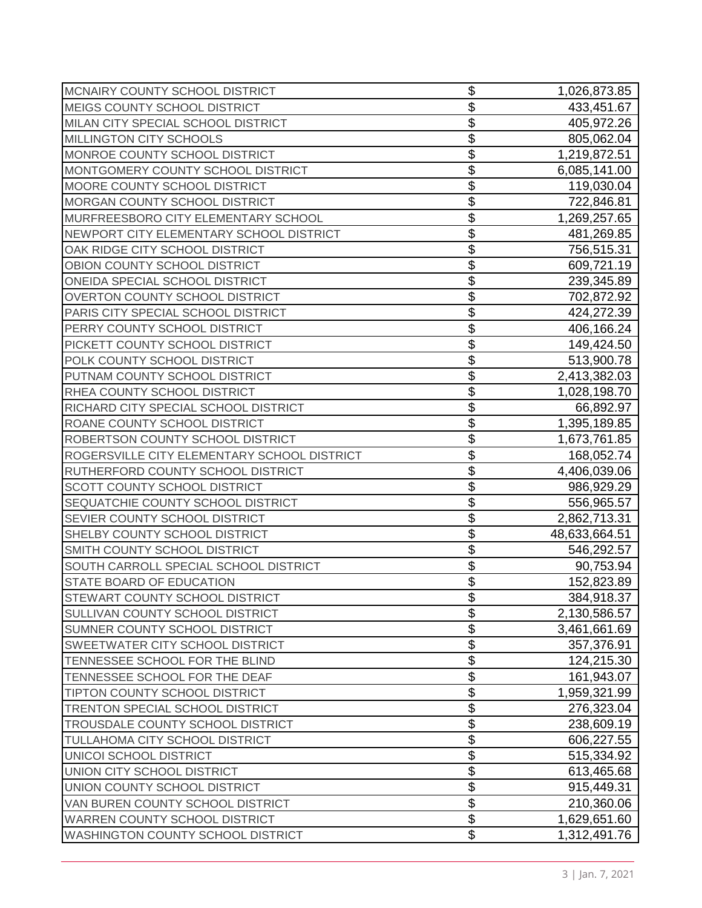| MCNAIRY COUNTY SCHOOL DISTRICT              | \$                        | 1,026,873.85  |
|---------------------------------------------|---------------------------|---------------|
| MEIGS COUNTY SCHOOL DISTRICT                | \$                        | 433,451.67    |
| MILAN CITY SPECIAL SCHOOL DISTRICT          | \$                        | 405,972.26    |
| MILLINGTON CITY SCHOOLS                     | \$                        | 805,062.04    |
| MONROE COUNTY SCHOOL DISTRICT               | \$                        | 1,219,872.51  |
| MONTGOMERY COUNTY SCHOOL DISTRICT           | \$                        | 6,085,141.00  |
| MOORE COUNTY SCHOOL DISTRICT                | \$                        | 119,030.04    |
| MORGAN COUNTY SCHOOL DISTRICT               | \$                        | 722,846.81    |
| MURFREESBORO CITY ELEMENTARY SCHOOL         | \$                        | 1,269,257.65  |
| NEWPORT CITY ELEMENTARY SCHOOL DISTRICT     | \$                        | 481,269.85    |
| OAK RIDGE CITY SCHOOL DISTRICT              | \$                        | 756,515.31    |
| OBION COUNTY SCHOOL DISTRICT                | \$                        | 609,721.19    |
| ONEIDA SPECIAL SCHOOL DISTRICT              | \$                        | 239,345.89    |
| <b>OVERTON COUNTY SCHOOL DISTRICT</b>       | \$                        | 702,872.92    |
| PARIS CITY SPECIAL SCHOOL DISTRICT          | \$                        | 424,272.39    |
| PERRY COUNTY SCHOOL DISTRICT                | \$                        | 406,166.24    |
| PICKETT COUNTY SCHOOL DISTRICT              | \$                        | 149,424.50    |
| POLK COUNTY SCHOOL DISTRICT                 | \$                        | 513,900.78    |
| PUTNAM COUNTY SCHOOL DISTRICT               | \$                        | 2,413,382.03  |
| RHEA COUNTY SCHOOL DISTRICT                 | \$                        | 1,028,198.70  |
| RICHARD CITY SPECIAL SCHOOL DISTRICT        | \$                        | 66,892.97     |
| ROANE COUNTY SCHOOL DISTRICT                | \$                        | 1,395,189.85  |
| ROBERTSON COUNTY SCHOOL DISTRICT            | \$                        | 1,673,761.85  |
| ROGERSVILLE CITY ELEMENTARY SCHOOL DISTRICT | \$                        | 168,052.74    |
| RUTHERFORD COUNTY SCHOOL DISTRICT           | \$                        | 4,406,039.06  |
| SCOTT COUNTY SCHOOL DISTRICT                | \$                        | 986,929.29    |
| SEQUATCHIE COUNTY SCHOOL DISTRICT           | \$                        | 556,965.57    |
| SEVIER COUNTY SCHOOL DISTRICT               | \$                        | 2,862,713.31  |
| SHELBY COUNTY SCHOOL DISTRICT               | \$                        | 48,633,664.51 |
| SMITH COUNTY SCHOOL DISTRICT                | \$                        | 546,292.57    |
| SOUTH CARROLL SPECIAL SCHOOL DISTRICT       | \$                        | 90,753.94     |
| STATE BOARD OF EDUCATION                    | $\overline{\$}$           | 152,823.89    |
| STEWART COUNTY SCHOOL DISTRICT              | \$                        | 384,918.37    |
| SULLIVAN COUNTY SCHOOL DISTRICT             | \$                        | 2,130,586.57  |
| SUMNER COUNTY SCHOOL DISTRICT               | \$                        | 3,461,661.69  |
| SWEETWATER CITY SCHOOL DISTRICT             | \$                        | 357,376.91    |
| TENNESSEE SCHOOL FOR THE BLIND              | $\overline{\mathfrak{s}}$ | 124,215.30    |
| TENNESSEE SCHOOL FOR THE DEAF               | \$                        | 161,943.07    |
| TIPTON COUNTY SCHOOL DISTRICT               | \$                        | 1,959,321.99  |
| TRENTON SPECIAL SCHOOL DISTRICT             | \$                        | 276,323.04    |
| TROUSDALE COUNTY SCHOOL DISTRICT            | $\overline{\mathcal{G}}$  | 238,609.19    |
| TULLAHOMA CITY SCHOOL DISTRICT              | $\overline{\mathfrak{s}}$ | 606,227.55    |
| UNICOI SCHOOL DISTRICT                      | \$                        | 515,334.92    |
| UNION CITY SCHOOL DISTRICT                  | \$                        | 613,465.68    |
| UNION COUNTY SCHOOL DISTRICT                | \$                        | 915,449.31    |
| VAN BUREN COUNTY SCHOOL DISTRICT            | \$                        | 210,360.06    |
| <b>WARREN COUNTY SCHOOL DISTRICT</b>        | $\overline{\mathfrak{s}}$ | 1,629,651.60  |
| WASHINGTON COUNTY SCHOOL DISTRICT           | \$                        | 1,312,491.76  |